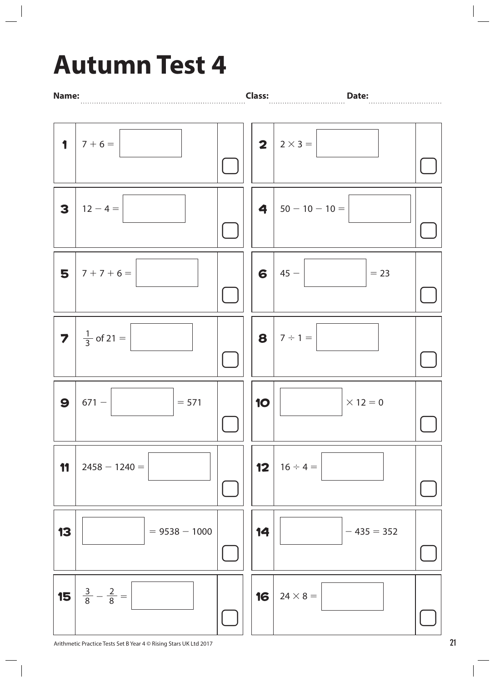## **Autumn Test 4**